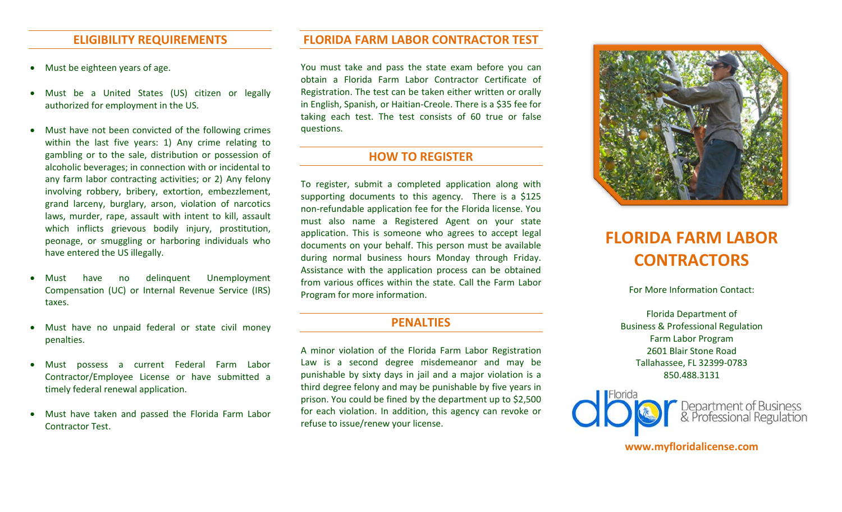- Must be eighteen years of age.
- Must be a United States (US) citizen or legally authorized for employment in the US.
- Must have not been convicted of the following crimes questions. within the last five years: 1) Any crime relating to gambling or to the sale, distribution or possession of alcoholic beverages; in connection with or incidental to any farm labor contracting activities; or 2) Any felony grand larceny, burglary, arson, violation of narcotics laws, murder, rape, assault with intent to kill, assault peonage, or smuggling or harboring individuals who have entered the US illegally. involving robbery, bribery, extortion, embezzlement, which inflicts grievous bodily injury, prostitution,
- Compensation (UC) or Internal Revenue Service (IRS) Must have no delinquent Unemployment taxes.
- Must have no unpaid federal or state civil money **PENALTIES** penalties.
- Contractor/Employee License or have submitted a Must possess a current Federal Farm Labor timely federal renewal application.
- Must have taken and passed the Florida Farm Labor Contractor Test.

### **ELIGIBILITY REQUIREMENTS FLORIDA FARM LABOR CONTRACTOR TEST**

• Must be eighteen years of age. You must take and pass the state exam before you can Registration. The test can be taken either written or orally in English, Spanish, or Haitian-Creole. There is a \$35 fee for taking each test. The test consists of 60 true or false obtain a Florida Farm Labor Contractor Certificate of

## **HOW TO REGISTER**

 To register, submit a completed application along with supporting documents to this agency. There is a \$125 non-refundable application fee for the Florida license. You must also name a Registered Agent on your state application. This is someone who agrees to accept legal documents on your behalf. This person must be available during normal business hours Monday through Friday. from various offices within the state. Call the Farm Labor Program for more information. Assistance with the application process can be obtained

 A minor violation of the Florida Farm Labor Registration Law is a second degree misdemeanor and may be punishable by sixty days in jail and a major violation is a third degree felony and may be punishable by five years in prison. You could be fined by the department up to \$2,500 for each violation. In addition, this agency can revoke or refuse to issue/renew your license.



# **FLORIDA FARM LABOR CONTRACTORS**

For More Information Contact:

 Florida Department of Business & Professional Regulation 2601 Blair Stone Road Farm Labor Program Tallahassee, FL 32399-0783 850.488.3131



**www.myfloridalicense.com**